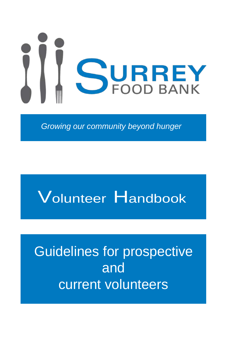

*Growing our community beyond hunger*

# Volunteer Handbook

## Guidelines for prospective and current volunteers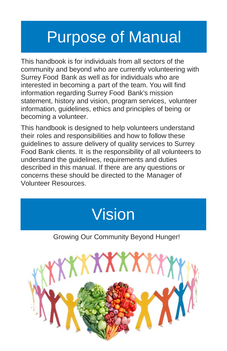## Purpose of Manual

This handbook is for individuals from all sectors of the community and beyond who are currently volunteering with Surrey Food Bank as well as for individuals who are interested in becoming a part of the team. You will find information regarding Surrey Food Bank's mission statement, history and vision, program services, volunteer information, guidelines, ethics and principles of being or becoming a volunteer.

This handbook is designed to help volunteers understand their roles and responsibilities and how to follow these guidelines to assure delivery of quality services to Surrey Food Bank clients. It is the responsibility of all volunteers to understand the guidelines, requirements and duties described in this manual. If there are any questions or concerns these should be directed to the Manager of Volunteer Resources.



Growing Our Community Beyond Hunger!

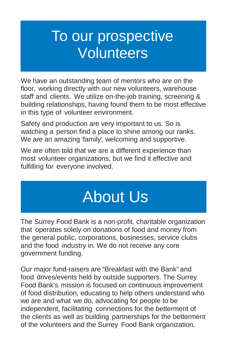## To our prospective **Volunteers**

We have an outstanding team of mentors who are on the floor, working directly with our new volunteers, warehouse staff and clients. We utilize on-the-job training, screening & building relationships, having found them to be most effective in this type of volunteer environment.

Safety and production are very important to us. So is watching a person find a place to shine among our ranks. We are an amazing 'family', welcoming and supportive.

We are often told that we are a different experience than most volunteer organizations, but we find it effective and fulfilling for everyone involved.

# About Us

The Surrey Food Bank is a non-profit, charitable organization that operates solely on donations of food and money from the general public, corporations, businesses, service clubs and the food industry in. We do not receive any core government funding.

Our major fund-raisers are "Breakfast with the Bank" and food drives/events held by outside supporters. The Surrey Food Bank's mission is focused on continuous improvement of food distribution, educating to help others understand who we are and what we do, advocating for people to be independent, facilitating connections for the betterment of the clients as well as building partnerships for the betterment of the volunteers and the Surrey Food Bank organization.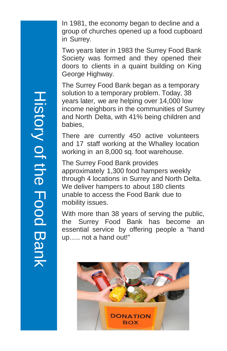In 1981, the economy began to decline and a group of churches opened up a food cupboard in Surrey.

Two years later in 1983 the Surrey Food Bank Society was formed and they opened their doors to clients in a quaint building on King George Highway.

The Surrey Food Bank began as a temporary solution to a temporary problem. Today, 38 years later, we are helping over 14,000 low income neighbors in the communities of Surrey and North Delta, with 41% being children and babies,

There are currently 450 active volunteers and 17 staff working at the Whalley location working in an 8,000 sq. foot warehouse.

The Surrey Food Bank provides approximately 1,300 food hampers weekly through 4 locations in Surrey and North Delta. We deliver hampers to about 180 clients unable to access the Food Bank due to mobility issues.

With more than 38 years of serving the public, the Surrey Food Bank has become an essential service by offering people a "hand up….. not a hand out!"



History of the Food Bank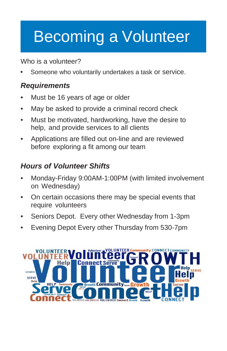# Becoming a Volunteer

Who is a volunteer?

Someone who voluntarily undertakes a task or service.

## *Requirements*

- Must be 16 years of age or older
- May be asked to provide a criminal record check
- Must be motivated, hardworking, have the desire to help, and provide services to all clients
- Applications are filled out on-line and are reviewed before exploring a fit among our team

## *Hours of Volunteer Shifts*

- Monday-Friday 9:00AM-1:00PM (with limited involvement on Wednesday)
- On certain occasions there may be special events that require volunteers
- Seniors Depot. Every other Wednesday from 1-3pm
- Evening Depot Every other Thursday from 530-7pm

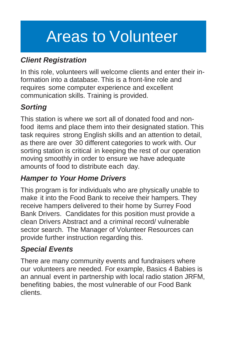# Areas to Volunteer

## *Client Registration*

In this role, volunteers will welcome clients and enter their information into a database. This is a front-line role and requires some computer experience and excellent communication skills. Training is provided.

## *Sorting*

This station is where we sort all of donated food and nonfood items and place them into their designated station. This task requires strong English skills and an attention to detail, as there are over 30 different categories to work with. Our sorting station is critical in keeping the rest of our operation moving smoothly in order to ensure we have adequate amounts of food to distribute each day.

## *Hamper to Your Home Drivers*

This program is for individuals who are physically unable to make it into the Food Bank to receive their hampers. They receive hampers delivered to their home by Surrey Food Bank Drivers. Candidates for this position must provide a clean Drivers Abstract and a criminal record/ vulnerable sector search. The Manager of Volunteer Resources can provide further instruction regarding this.

## *Special Events*

There are many community events and fundraisers where our volunteers are needed. For example, Basics 4 Babies is an annual event in partnership with local radio station JRFM, benefiting babies, the most vulnerable of our Food Bank clients.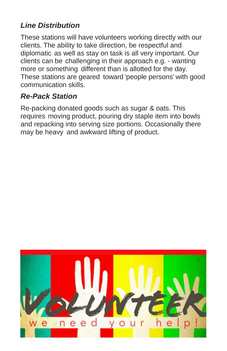#### *Line Distribution*

These stations will have volunteers working directly with our clients. The ability to take direction, be respectful and diplomatic as well as stay on task is all very important. Our clients can be challenging in their approach e.g. - wanting more or something different than is allotted for the day. These stations are geared toward 'people persons' with good communication skills.

#### *Re-Pack Station*

Re-packing donated goods such as sugar & oats. This requires moving product, pouring dry staple item into bowls and repacking into serving size portions. Occasionally there may be heavy and awkward lifting of product.

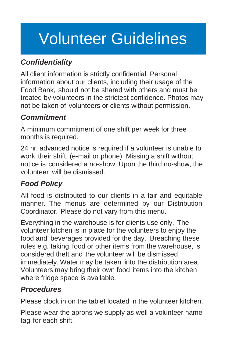## Volunteer Guidelines

### *Confidentiality*

All client information is strictly confidential. Personal information about our clients, including their usage of the Food Bank, should not be shared with others and must be treated by volunteers in the strictest confidence. Photos may not be taken of volunteers or clients without permission.

#### *Commitment*

A minimum commitment of one shift per week for three months is required.

24 hr. advanced notice is required if a volunteer is unable to work their shift, (e-mail or phone). Missing a shift without notice is considered a no-show. Upon the third no-show, the volunteer will be dismissed.

## *Food Policy*

All food is distributed to our clients in a fair and equitable manner. The menus are determined by our Distribution Coordinator. Please do not vary from this menu.

Everything in the warehouse is for clients use only. The volunteer kitchen is in place for the volunteers to enjoy the food and beverages provided for the day. Breaching these rules e.g. taking food or other items from the warehouse, is considered theft and the volunteer will be dismissed immediately. Water may be taken into the distribution area. Volunteers may bring their own food items into the kitchen where fridge space is available.

#### *Procedures*

Please clock in on the tablet located in the volunteer kitchen.

Please wear the aprons we supply as well a volunteer name tag for each shift.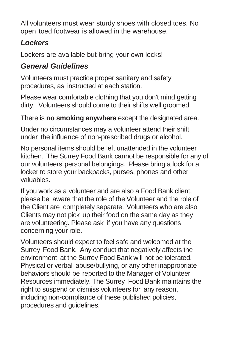All volunteers must wear sturdy shoes with closed toes. No open toed footwear is allowed in the warehouse.

## *Lockers*

Lockers are available but bring your own locks!

### *General Guidelines*

Volunteers must practice proper sanitary and safety procedures, as instructed at each station.

Please wear comfortable clothing that you don't mind getting dirty. Volunteers should come to their shifts well groomed.

There is **no smoking anywhere** except the designated area.

Under no circumstances may a volunteer attend their shift under the influence of non-prescribed drugs or alcohol.

No personal items should be left unattended in the volunteer kitchen. The Surrey Food Bank cannot be responsible for any of our volunteers'personal belongings. Please bring a lock for a locker to store your backpacks, purses, phones and other valuables.

If you work as a volunteer and are also a Food Bank client, please be aware that the role of the Volunteer and the role of the Client are completely separate. Volunteers who are also Clients may not pick up their food on the same day as they are volunteering. Please ask if you have any questions concerning your role.

Volunteers should expect to feel safe and welcomed at the Surrey Food Bank. Any conduct that negatively affects the environment at the Surrey Food Bank will not be tolerated. Physical or verbal abuse/bullying, or any other inappropriate behaviors should be reported to the Manager of Volunteer Resources immediately. The Surrey Food Bank maintains the right to suspend or dismiss volunteers for any reason, including non-compliance of these published policies, procedures and guidelines.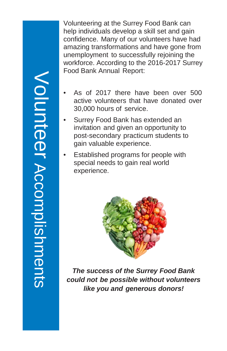Volunteer Volunteer<br>Accomplishments Accomplishments

Volunteering at the Surrey Food Bank can help individuals develop a skill set and gain confidence. Many of our volunteers have had amazing transformations and have gone from unemployment to successfully rejoining the workforce. According to the 2016-2017 Surrey Food Bank Annual Report:

- As of 2017 there have been over 500 active volunteers that have donated over 30,000 hours of service.
- Surrey Food Bank has extended an invitation and given an opportunity to post-secondary practicum students to gain valuable experience.
- Established programs for people with special needs to gain real world experience.



*The success of the Surrey Food Bank could not be possible without volunteers like you and generous donors!*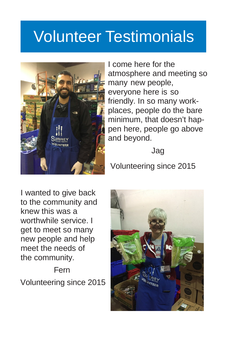## Volunteer Testimonials



I come here for the atmosphere and meeting so many new people, everyone here is so friendly. In so many workplaces, people do the bare minimum, that doesn't happen here, people go above and beyond.

Jag

Volunteering since 2015

I wanted to give back to the community and knew this was a worthwhile service. I get to meet so many new people and help meet the needs of the community.

Fern Volunteering since 2015

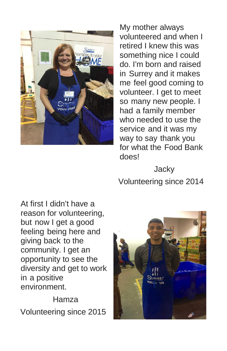

My mother always volunteered and when I retired I knew this was something nice I could do. I'm born and raised in Surrey and it makes me feel good coming to volunteer. I get to meet so many new people. I had a family member who needed to use the service and it was my way to say thank you for what the Food Bank does!

**Jacky** Volunteering since 2014

At first I didn't have a reason for volunteering, but now I get a good feeling being here and giving back to the community. I get an opportunity to see the diversity and get to work in a positive environment.

Hamza Volunteering since 2015

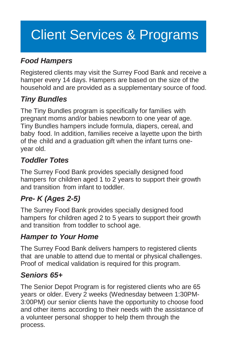## Client Services & Programs

### *Food Hampers*

Registered clients may visit the Surrey Food Bank and receive a hamper every 14 days. Hampers are based on the size of the household and are provided as a supplementary source of food.

#### *Tiny Bundles*

The Tiny Bundles program is specifically for families with pregnant moms and/or babies newborn to one year of age. Tiny Bundles hampers include formula, diapers, cereal, and baby food. In addition, families receive a layette upon the birth of the child and a graduation gift when the infant turns oneyear old.

### *Toddler Totes*

The Surrey Food Bank provides specially designed food hampers for children aged 1 to 2 years to support their growth and transition from infant to toddler.

## *Pre- K (Ages 2-5)*

The Surrey Food Bank provides specially designed food hampers for children aged 2 to 5 years to support their growth and transition from toddler to school age.

#### *Hamper to Your Home*

The Surrey Food Bank delivers hampers to registered clients that are unable to attend due to mental or physical challenges. Proof of medical validation is required for this program.

#### *Seniors 65+*

The Senior Depot Program is for registered clients who are 65 years or older. Every 2 weeks (Wednesday between 1:30PM-3:00PM) our senior clients have the opportunity to choose food and other items according to their needs with the assistance of a volunteer personal shopper to help them through the process.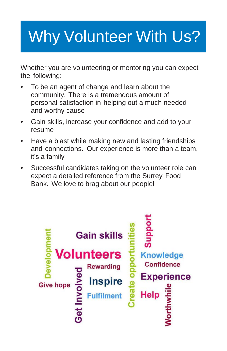# Why Volunteer With Us?

Whether you are volunteering or mentoring you can expect the following:

- To be an agent of change and learn about the community. There is a tremendous amount of personal satisfaction in helping out a much needed and worthy cause
- Gain skills, increase your confidence and add to your resume
- Have a blast while making new and lasting friendships and connections. Our experience is more than a team, it's a family
- Successful candidates taking on the volunteer role can expect a detailed reference from the Surrey Food Bank. We love to brag about our people!